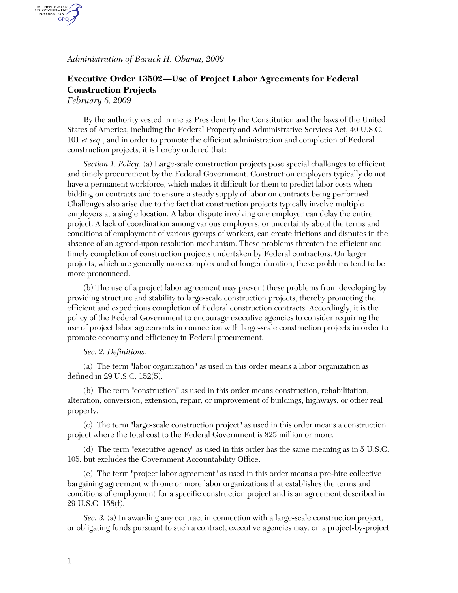*Administration of Barack H. Obama, 2009* 

## **Executive Order 13502—Use of Project Labor Agreements for Federal Construction Projects**

*February 6, 2009*

AUTHENTICATED<br>U.S. GOVERNMENT<br>INFORMATION **GPO** 

> By the authority vested in me as President by the Constitution and the laws of the United States of America, including the Federal Property and Administrative Services Act, 40 U.S.C. 101 *et seq.*, and in order to promote the efficient administration and completion of Federal construction projects, it is hereby ordered that:

> *Section 1. Policy.* (a) Large-scale construction projects pose special challenges to efficient and timely procurement by the Federal Government. Construction employers typically do not have a permanent workforce, which makes it difficult for them to predict labor costs when bidding on contracts and to ensure a steady supply of labor on contracts being performed. Challenges also arise due to the fact that construction projects typically involve multiple employers at a single location. A labor dispute involving one employer can delay the entire project. A lack of coordination among various employers, or uncertainty about the terms and conditions of employment of various groups of workers, can create frictions and disputes in the absence of an agreed-upon resolution mechanism. These problems threaten the efficient and timely completion of construction projects undertaken by Federal contractors. On larger projects, which are generally more complex and of longer duration, these problems tend to be more pronounced.

> (b) The use of a project labor agreement may prevent these problems from developing by providing structure and stability to large-scale construction projects, thereby promoting the efficient and expeditious completion of Federal construction contracts. Accordingly, it is the policy of the Federal Government to encourage executive agencies to consider requiring the use of project labor agreements in connection with large-scale construction projects in order to promote economy and efficiency in Federal procurement.

*Sec. 2. Definitions.*

(a) The term "labor organization" as used in this order means a labor organization as defined in 29 U.S.C. 152(5).

(b) The term "construction" as used in this order means construction, rehabilitation, alteration, conversion, extension, repair, or improvement of buildings, highways, or other real property.

(c) The term "large-scale construction project" as used in this order means a construction project where the total cost to the Federal Government is \$25 million or more.

(d) The term "executive agency" as used in this order has the same meaning as in 5 U.S.C. 105, but excludes the Government Accountability Office.

(e) The term "project labor agreement" as used in this order means a pre-hire collective bargaining agreement with one or more labor organizations that establishes the terms and conditions of employment for a specific construction project and is an agreement described in 29 U.S.C. 158(f).

*Sec. 3.* (a) In awarding any contract in connection with a large-scale construction project, or obligating funds pursuant to such a contract, executive agencies may, on a project-by-project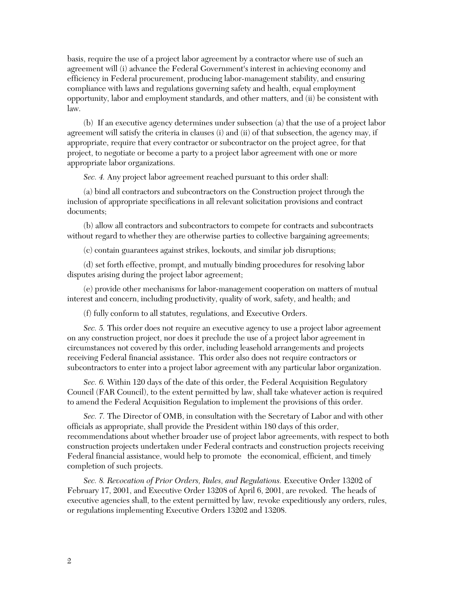basis, require the use of a project labor agreement by a contractor where use of such an agreement will (i) advance the Federal Government's interest in achieving economy and efficiency in Federal procurement, producing labor-management stability, and ensuring compliance with laws and regulations governing safety and health, equal employment opportunity, labor and employment standards, and other matters, and (ii) be consistent with law.

(b) If an executive agency determines under subsection (a) that the use of a project labor agreement will satisfy the criteria in clauses (i) and (ii) of that subsection, the agency may, if appropriate, require that every contractor or subcontractor on the project agree, for that project, to negotiate or become a party to a project labor agreement with one or more appropriate labor organizations.

*Sec. 4.* Any project labor agreement reached pursuant to this order shall:

(a) bind all contractors and subcontractors on the Construction project through the inclusion of appropriate specifications in all relevant solicitation provisions and contract documents;

(b) allow all contractors and subcontractors to compete for contracts and subcontracts without regard to whether they are otherwise parties to collective bargaining agreements;

(c) contain guarantees against strikes, lockouts, and similar job disruptions;

(d) set forth effective, prompt, and mutually binding procedures for resolving labor disputes arising during the project labor agreement;

(e) provide other mechanisms for labor-management cooperation on matters of mutual interest and concern, including productivity, quality of work, safety, and health; and

(f) fully conform to all statutes, regulations, and Executive Orders.

*Sec. 5.* This order does not require an executive agency to use a project labor agreement on any construction project, nor does it preclude the use of a project labor agreement in circumstances not covered by this order, including leasehold arrangements and projects receiving Federal financial assistance. This order also does not require contractors or subcontractors to enter into a project labor agreement with any particular labor organization.

*Sec. 6.* Within 120 days of the date of this order, the Federal Acquisition Regulatory Council (FAR Council), to the extent permitted by law, shall take whatever action is required to amend the Federal Acquisition Regulation to implement the provisions of this order.

*Sec. 7.* The Director of OMB, in consultation with the Secretary of Labor and with other officials as appropriate, shall provide the President within 180 days of this order, recommendations about whether broader use of project labor agreements, with respect to both construction projects undertaken under Federal contracts and construction projects receiving Federal financial assistance, would help to promote the economical, efficient, and timely completion of such projects.

*Sec. 8. Revocation of Prior Orders, Rules, and Regulations.* Executive Order 13202 of February 17, 2001, and Executive Order 13208 of April 6, 2001, are revoked. The heads of executive agencies shall, to the extent permitted by law, revoke expeditiously any orders, rules, or regulations implementing Executive Orders 13202 and 13208.